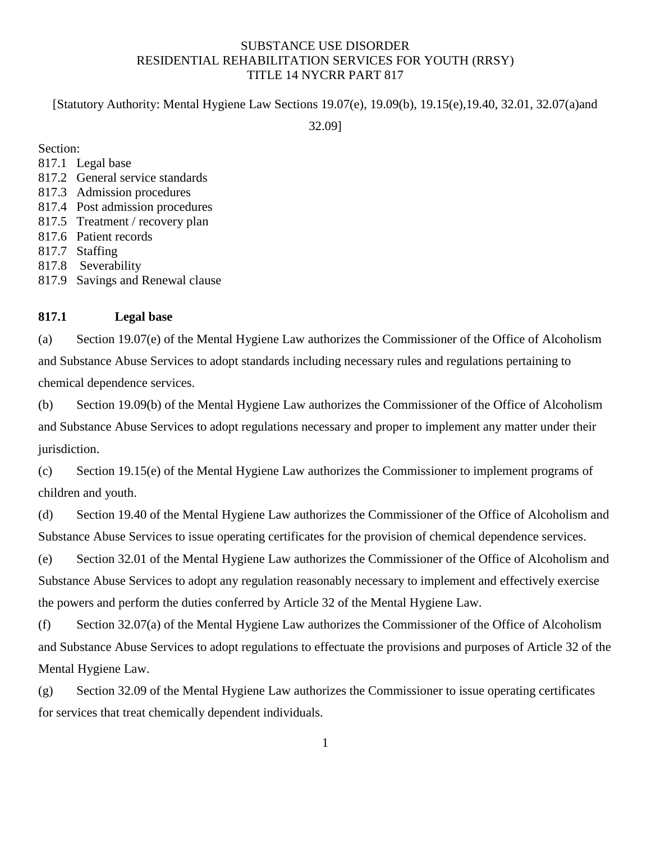# SUBSTANCE USE DISORDER RESIDENTIAL REHABILITATION SERVICES FOR YOUTH (RRSY) TITLE 14 NYCRR PART 817

[Statutory Authority: Mental Hygiene Law Sections 19.07(e), 19.09(b), 19.15(e),19.40, 32.01, 32.07(a)and

32.09]

Section:

- [817.1 Legal base](https://www.oasas.ny.gov/regs/817.cfm#legalbase)
- [817.2 General service standards](https://www.oasas.ny.gov/regs/817.cfm#general)
- [817.3 Admission procedures](https://www.oasas.ny.gov/regs/817.cfm#admission)
- [817.4 Post admission procedures](https://www.oasas.ny.gov/regs/817.cfm#postadmission)
- [817.5 T](https://www.oasas.ny.gov/regs/817.cfm#record)reatment / recovery plan
- 817.6 Patient records
- [817.7 Staffing](https://www.oasas.ny.gov/regs/817.cfm#staffing)
- [817.8 Severability](https://www.oasas.ny.gov/regs/817.cfm#severability)
- 817.9 Savings and Renewal clause

## **817.1 Legal base**

(a) Section 19.07(e) of the Mental Hygiene Law authorizes the Commissioner of the Office of Alcoholism and Substance Abuse Services to adopt standards including necessary rules and regulations pertaining to chemical dependence services.

(b) Section 19.09(b) of the Mental Hygiene Law authorizes the Commissioner of the Office of Alcoholism and Substance Abuse Services to adopt regulations necessary and proper to implement any matter under their jurisdiction.

(c) Section 19.15(e) of the Mental Hygiene Law authorizes the Commissioner to implement programs of children and youth.

(d) Section 19.40 of the Mental Hygiene Law authorizes the Commissioner of the Office of Alcoholism and Substance Abuse Services to issue operating certificates for the provision of chemical dependence services.

(e) Section 32.01 of the Mental Hygiene Law authorizes the Commissioner of the Office of Alcoholism and Substance Abuse Services to adopt any regulation reasonably necessary to implement and effectively exercise the powers and perform the duties conferred by Article 32 of the Mental Hygiene Law.

(f) Section 32.07(a) of the Mental Hygiene Law authorizes the Commissioner of the Office of Alcoholism and Substance Abuse Services to adopt regulations to effectuate the provisions and purposes of Article 32 of the Mental Hygiene Law.

(g) Section 32.09 of the Mental Hygiene Law authorizes the Commissioner to issue operating certificates for services that treat chemically dependent individuals.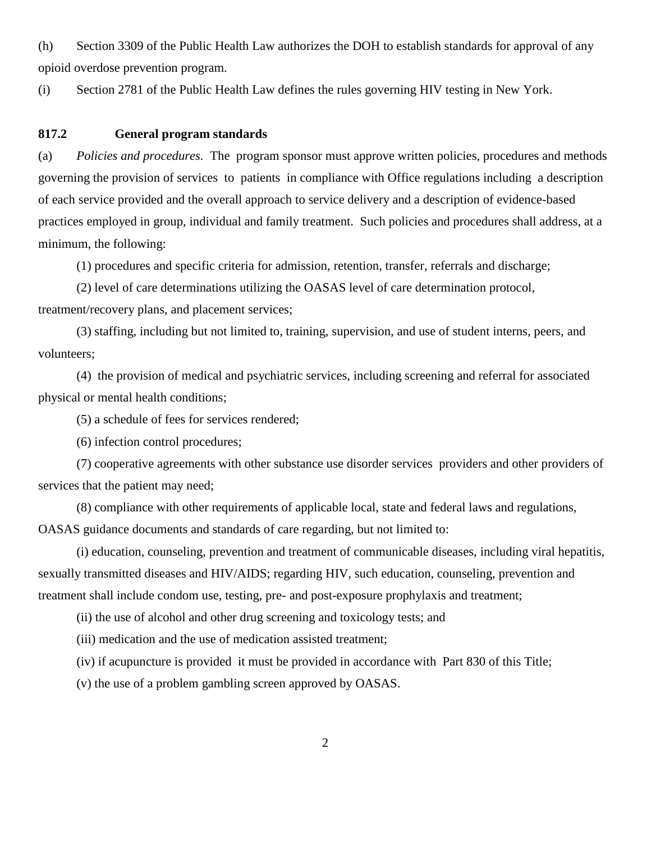(h) Section 3309 of the Public Health Law authorizes the DOH to establish standards for approval of any opioid overdose prevention program.

(i) Section 2781 of the Public Health Law defines the rules governing HIV testing in New York.

#### **817.2 General program standards**

(a) *Policies and procedures.* The program sponsor must approve written policies, procedures and methods governing the provision of services to patients in compliance with Office regulations including a description of each service provided and the overall approach to service delivery and a description of evidence-based practices employed in group, individual and family treatment. Such policies and procedures shall address, at a minimum, the following:

(1) procedures and specific criteria for admission, retention, transfer, referrals and discharge;

 (2) level of care determinations utilizing the OASAS level of care determination protocol, treatment/recovery plans, and placement services;

 (3) staffing, including but not limited to, training, supervision, and use of student interns, peers, and volunteers;

 (4) the provision of medical and psychiatric services, including screening and referral for associated physical or mental health conditions;

(5) a schedule of fees for services rendered;

(6) infection control procedures;

 (7) cooperative agreements with other substance use disorder services providers and other providers of services that the patient may need;

 (8) compliance with other requirements of applicable local, state and federal laws and regulations, OASAS guidance documents and standards of care regarding, but not limited to:

(i) education, counseling, prevention and treatment of communicable diseases, including viral hepatitis, sexually transmitted diseases and HIV/AIDS; regarding HIV, such education, counseling, prevention and treatment shall include condom use, testing, pre- and post-exposure prophylaxis and treatment;

(ii) the use of alcohol and other drug screening and toxicology tests; and

(iii) medication and the use of medication assisted treatment;

(iv) if acupuncture is provided it must be provided in accordance with Part 830 of this Title;

(v) the use of a problem gambling screen approved by OASAS.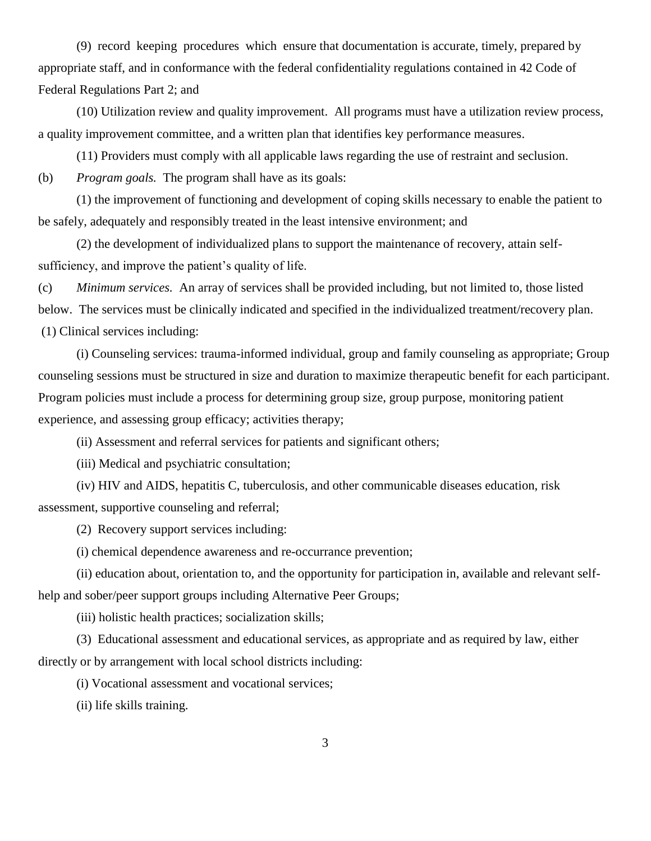(9) record keeping procedures which ensure that documentation is accurate, timely, prepared by appropriate staff, and in conformance with the federal confidentiality regulations contained in 42 Code of Federal Regulations Part 2; and

 (10) Utilization review and quality improvement. All programs must have a utilization review process, a quality improvement committee, and a written plan that identifies key performance measures.

(11) Providers must comply with all applicable laws regarding the use of restraint and seclusion.

(b) *Program goals.* The program shall have as its goals:

(1) the improvement of functioning and development of coping skills necessary to enable the patient to be safely, adequately and responsibly treated in the least intensive environment; and

(2) the development of individualized plans to support the maintenance of recovery, attain selfsufficiency, and improve the patient's quality of life.

(c) *Minimum services.* An array of services shall be provided including, but not limited to, those listed below. The services must be clinically indicated and specified in the individualized treatment/recovery plan. (1) Clinical services including:

(i) Counseling services: trauma-informed individual, group and family counseling as appropriate; Group counseling sessions must be structured in size and duration to maximize therapeutic benefit for each participant. Program policies must include a process for determining group size, group purpose, monitoring patient experience, and assessing group efficacy; activities therapy;

(ii) Assessment and referral services for patients and significant others;

(iii) Medical and psychiatric consultation;

(iv) HIV and AIDS, hepatitis C, tuberculosis, and other communicable diseases education, risk assessment, supportive counseling and referral;

(2) Recovery support services including:

(i) chemical dependence awareness and re-occurrance prevention;

(ii) education about, orientation to, and the opportunity for participation in, available and relevant selfhelp and sober/peer support groups including Alternative Peer Groups;

(iii) holistic health practices; socialization skills;

(3) Educational assessment and educational services, as appropriate and as required by law, either directly or by arrangement with local school districts including:

(i) Vocational assessment and vocational services;

(ii) life skills training.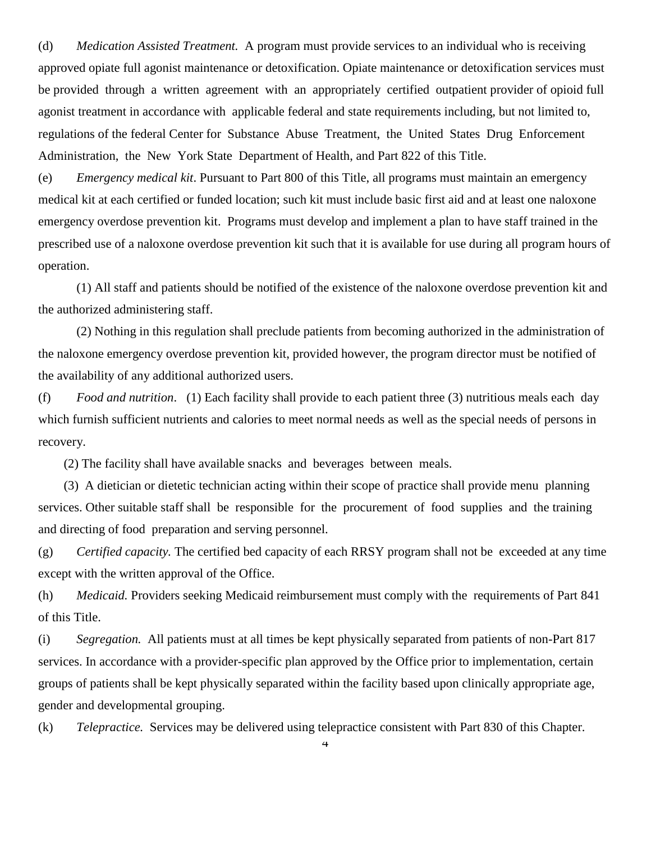(d) *Medication Assisted Treatment.* A program must provide services to an individual who is receiving approved opiate full agonist maintenance or detoxification. Opiate maintenance or detoxification services must be provided through a written agreement with an appropriately certified outpatient provider of opioid full agonist treatment in accordance with applicable federal and state requirements including, but not limited to, regulations of the federal Center for Substance Abuse Treatment, the United States Drug Enforcement Administration, the New York State Department of Health, and Part 822 of this Title.

(e) *Emergency medical kit*. Pursuant to Part 800 of this Title, all programs must maintain an emergency medical kit at each certified or funded location; such kit must include basic first aid and at least one naloxone emergency overdose prevention kit. Programs must develop and implement a plan to have staff trained in the prescribed use of a naloxone overdose prevention kit such that it is available for use during all program hours of operation.

(1) All staff and patients should be notified of the existence of the naloxone overdose prevention kit and the authorized administering staff.

(2) Nothing in this regulation shall preclude patients from becoming authorized in the administration of the naloxone emergency overdose prevention kit, provided however, the program director must be notified of the availability of any additional authorized users.

(f) *Food and nutrition*. (1) Each facility shall provide to each patient three (3) nutritious meals each day which furnish sufficient nutrients and calories to meet normal needs as well as the special needs of persons in recovery.

(2) The facility shall have available snacks and beverages between meals.

 (3) A dietician or dietetic technician acting within their scope of practice shall provide menu planning services. Other suitable staff shall be responsible for the procurement of food supplies and the training and directing of food preparation and serving personnel.

(g) *Certified capacity.* The certified bed capacity of each RRSY program shall not be exceeded at any time except with the written approval of the Office.

(h) *Medicaid.* Providers seeking Medicaid reimbursement must comply with the requirements of Part 841 of this Title.

(i) *Segregation.* All patients must at all times be kept physically separated from patients of non-Part 817 services. In accordance with a provider-specific plan approved by the Office prior to implementation, certain groups of patients shall be kept physically separated within the facility based upon clinically appropriate age, gender and developmental grouping.

(k) *Telepractice.* Services may be delivered using telepractice consistent with Part 830 of this Chapter.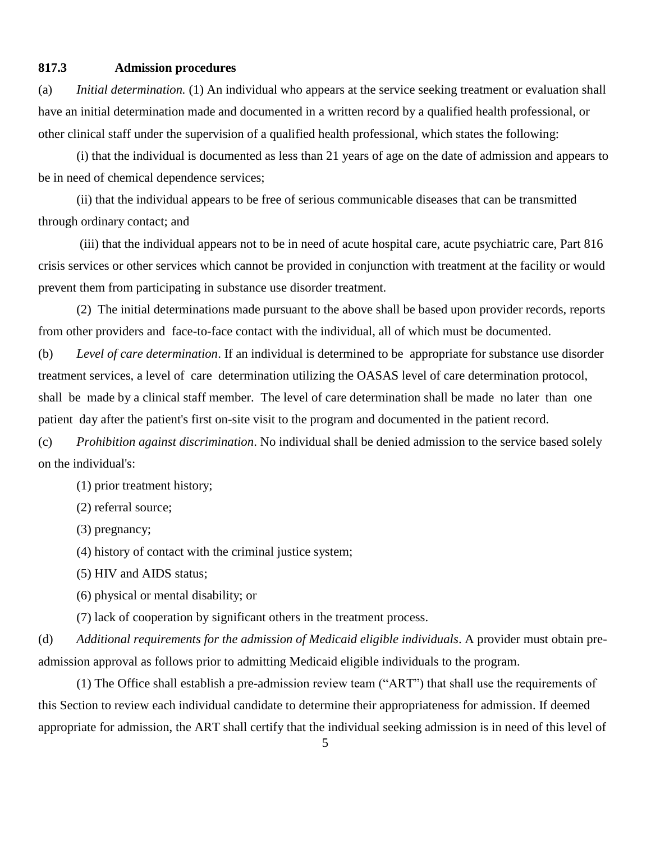## **817.3 Admission procedures**

(a) *Initial determination.* (1) An individual who appears at the service seeking treatment or evaluation shall have an initial determination made and documented in a written record by a qualified health professional, or other clinical staff under the supervision of a qualified health professional, which states the following:

(i) that the individual is documented as less than 21 years of age on the date of admission and appears to be in need of chemical dependence services;

(ii) that the individual appears to be free of serious communicable diseases that can be transmitted through ordinary contact; and

(iii) that the individual appears not to be in need of acute hospital care, acute psychiatric care, Part 816 crisis services or other services which cannot be provided in conjunction with treatment at the facility or would prevent them from participating in substance use disorder treatment.

(2) The initial determinations made pursuant to the above shall be based upon provider records, reports from other providers and face-to-face contact with the individual, all of which must be documented.

(b) *Level of care determination*. If an individual is determined to be appropriate for substance use disorder treatment services, a level of care determination utilizing the OASAS level of care determination protocol, shall be made by a clinical staff member. The level of care determination shall be made no later than one patient day after the patient's first on-site visit to the program and documented in the patient record.

(c) *Prohibition against discrimination*. No individual shall be denied admission to the service based solely on the individual's:

(1) prior treatment history;

(2) referral source;

(3) pregnancy;

(4) history of contact with the criminal justice system;

(5) HIV and AIDS status;

(6) physical or mental disability; or

(7) lack of cooperation by significant others in the treatment process.

(d) *Additional requirements for the admission of Medicaid eligible individuals*. A provider must obtain preadmission approval as follows prior to admitting Medicaid eligible individuals to the program.

(1) The Office shall establish a pre-admission review team ("ART") that shall use the requirements of this Section to review each individual candidate to determine their appropriateness for admission. If deemed appropriate for admission, the ART shall certify that the individual seeking admission is in need of this level of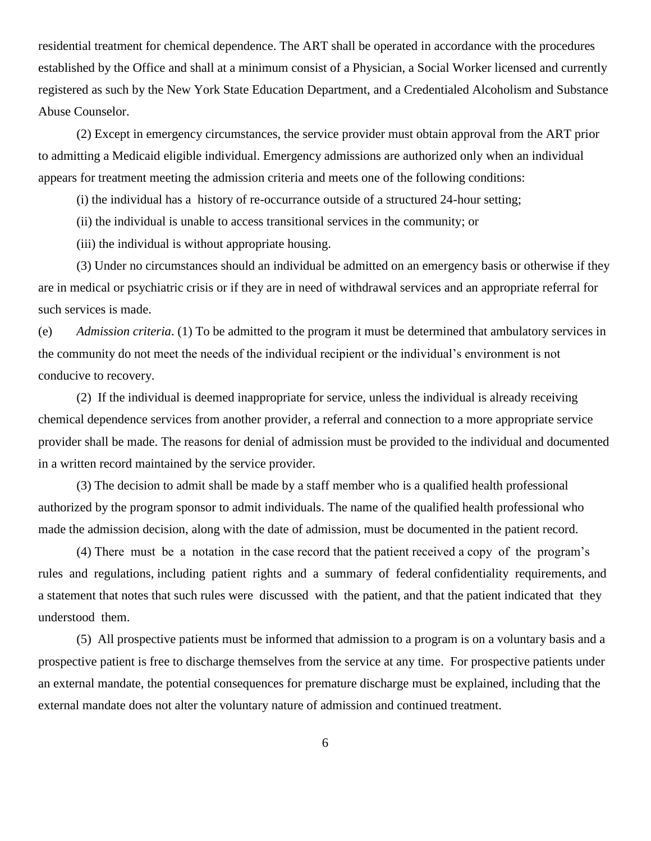residential treatment for chemical dependence. The ART shall be operated in accordance with the procedures established by the Office and shall at a minimum consist of a Physician, a Social Worker licensed and currently registered as such by the New York State Education Department, and a Credentialed Alcoholism and Substance Abuse Counselor.

(2) Except in emergency circumstances, the service provider must obtain approval from the ART prior to admitting a Medicaid eligible individual. Emergency admissions are authorized only when an individual appears for treatment meeting the admission criteria and meets one of the following conditions:

(i) the individual has a history of re-occurrance outside of a structured 24-hour setting;

(ii) the individual is unable to access transitional services in the community; or

(iii) the individual is without appropriate housing.

(3) Under no circumstances should an individual be admitted on an emergency basis or otherwise if they are in medical or psychiatric crisis or if they are in need of withdrawal services and an appropriate referral for such services is made.

(e) *Admission criteria*. (1) To be admitted to the program it must be determined that ambulatory services in the community do not meet the needs of the individual recipient or the individual's environment is not conducive to recovery.

(2) If the individual is deemed inappropriate for service, unless the individual is already receiving chemical dependence services from another provider, a referral and connection to a more appropriate service provider shall be made. The reasons for denial of admission must be provided to the individual and documented in a written record maintained by the service provider.

(3) The decision to admit shall be made by a staff member who is a qualified health professional authorized by the program sponsor to admit individuals. The name of the qualified health professional who made the admission decision, along with the date of admission, must be documented in the patient record.

(4) There must be a notation in the case record that the patient received a copy of the program's rules and regulations, including patient rights and a summary of federal confidentiality requirements, and a statement that notes that such rules were discussed with the patient, and that the patient indicated that they understood them.

(5) All prospective patients must be informed that admission to a program is on a voluntary basis and a prospective patient is free to discharge themselves from the service at any time. For prospective patients under an external mandate, the potential consequences for premature discharge must be explained, including that the external mandate does not alter the voluntary nature of admission and continued treatment.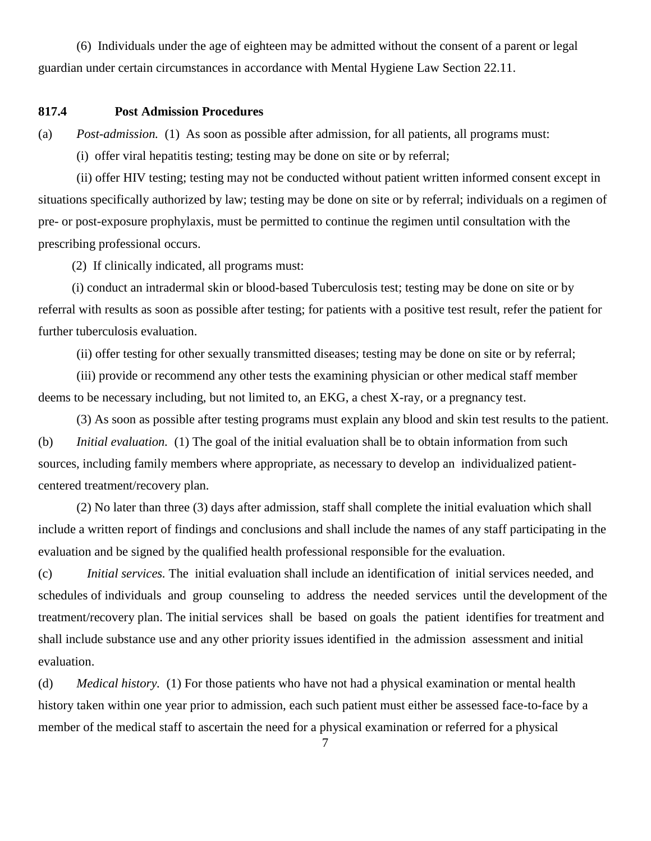(6) Individuals under the age of eighteen may be admitted without the consent of a parent or legal guardian under certain circumstances in accordance with Mental Hygiene Law Section 22.11.

# **817.4 Post Admission Procedures**

(a) *Post-admission.* (1) As soon as possible after admission, for all patients, all programs must:

(i) offer viral hepatitis testing; testing may be done on site or by referral;

(ii) offer HIV testing; testing may not be conducted without patient written informed consent except in situations specifically authorized by law; testing may be done on site or by referral; individuals on a regimen of pre- or post-exposure prophylaxis, must be permitted to continue the regimen until consultation with the prescribing professional occurs.

(2) If clinically indicated, all programs must:

(i) conduct an intradermal skin or blood-based Tuberculosis test; testing may be done on site or by referral with results as soon as possible after testing; for patients with a positive test result, refer the patient for further tuberculosis evaluation.

(ii) offer testing for other sexually transmitted diseases; testing may be done on site or by referral;

(iii) provide or recommend any other tests the examining physician or other medical staff member deems to be necessary including, but not limited to, an EKG, a chest X-ray, or a pregnancy test.

(3) As soon as possible after testing programs must explain any blood and skin test results to the patient. (b) *Initial evaluation.* (1) The goal of the initial evaluation shall be to obtain information from such sources, including family members where appropriate, as necessary to develop an individualized patientcentered treatment/recovery plan.

(2) No later than three (3) days after admission, staff shall complete the initial evaluation which shall include a written report of findings and conclusions and shall include the names of any staff participating in the evaluation and be signed by the qualified health professional responsible for the evaluation.

(c) *Initial services.* The initial evaluation shall include an identification of initial services needed, and schedules of individuals and group counseling to address the needed services until the development of the treatment/recovery plan. The initial services shall be based on goals the patient identifies for treatment and shall include substance use and any other priority issues identified in the admission assessment and initial evaluation.

(d) *Medical history.* (1) For those patients who have not had a physical examination or mental health history taken within one year prior to admission, each such patient must either be assessed face-to-face by a member of the medical staff to ascertain the need for a physical examination or referred for a physical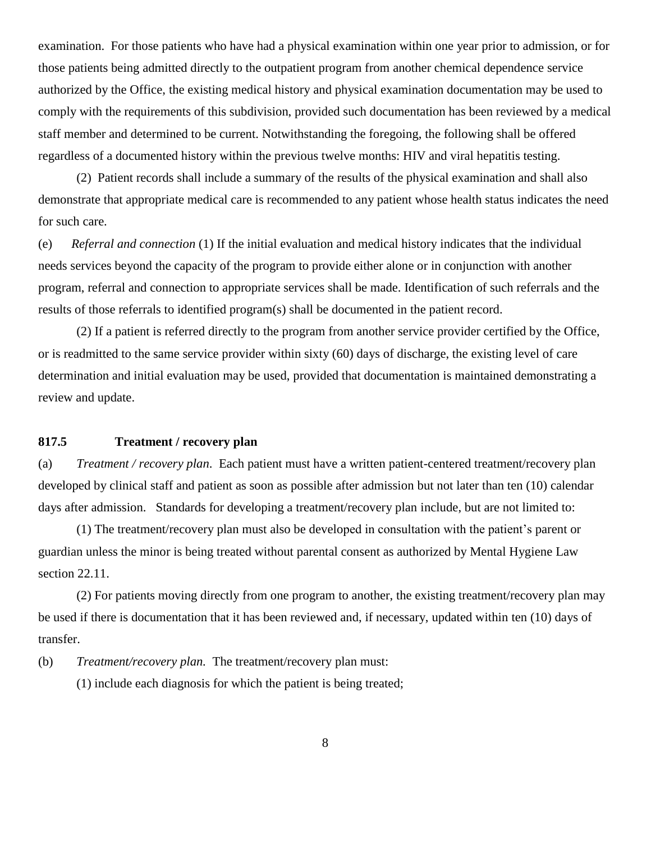examination. For those patients who have had a physical examination within one year prior to admission, or for those patients being admitted directly to the outpatient program from another chemical dependence service authorized by the Office, the existing medical history and physical examination documentation may be used to comply with the requirements of this subdivision, provided such documentation has been reviewed by a medical staff member and determined to be current. Notwithstanding the foregoing, the following shall be offered regardless of a documented history within the previous twelve months: HIV and viral hepatitis testing.

(2) Patient records shall include a summary of the results of the physical examination and shall also demonstrate that appropriate medical care is recommended to any patient whose health status indicates the need for such care.

(e) *Referral and connection* (1) If the initial evaluation and medical history indicates that the individual needs services beyond the capacity of the program to provide either alone or in conjunction with another program, referral and connection to appropriate services shall be made. Identification of such referrals and the results of those referrals to identified program(s) shall be documented in the patient record.

(2) If a patient is referred directly to the program from another service provider certified by the Office, or is readmitted to the same service provider within sixty (60) days of discharge, the existing level of care determination and initial evaluation may be used, provided that documentation is maintained demonstrating a review and update.

### **817.5 Treatment / recovery plan**

(a) *Treatment / recovery plan*. Each patient must have a written patient-centered treatment/recovery plan developed by clinical staff and patient as soon as possible after admission but not later than ten (10) calendar days after admission. Standards for developing a treatment/recovery plan include, but are not limited to:

(1) The treatment/recovery plan must also be developed in consultation with the patient's parent or guardian unless the minor is being treated without parental consent as authorized by Mental Hygiene Law section 22.11.

(2) For patients moving directly from one program to another, the existing treatment/recovery plan may be used if there is documentation that it has been reviewed and, if necessary, updated within ten (10) days of transfer.

(b) *Treatment/recovery plan.* The treatment/recovery plan must:

(1) include each diagnosis for which the patient is being treated;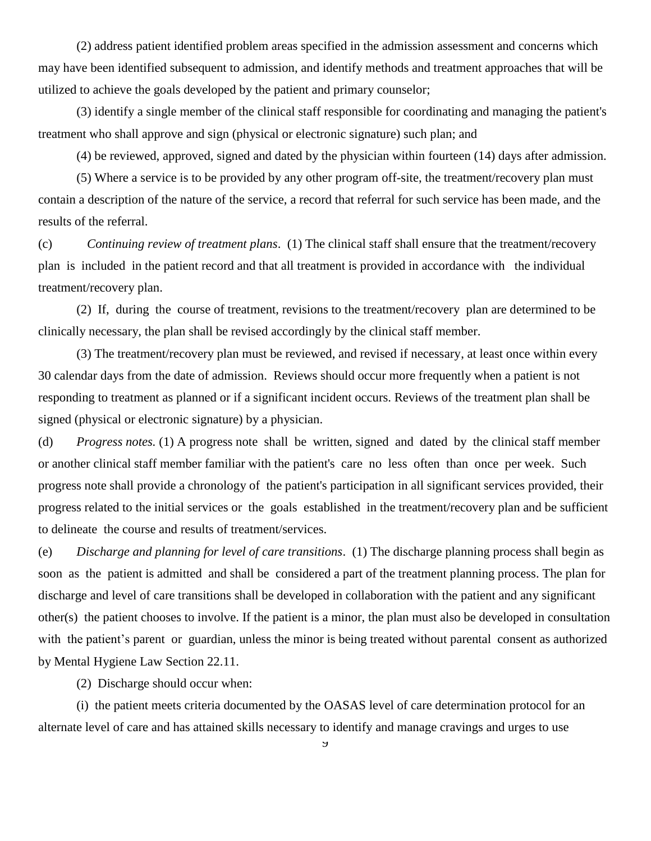(2) address patient identified problem areas specified in the admission assessment and concerns which may have been identified subsequent to admission, and identify methods and treatment approaches that will be utilized to achieve the goals developed by the patient and primary counselor;

(3) identify a single member of the clinical staff responsible for coordinating and managing the patient's treatment who shall approve and sign (physical or electronic signature) such plan; and

(4) be reviewed, approved, signed and dated by the physician within fourteen (14) days after admission.

 (5) Where a service is to be provided by any other program off-site, the treatment/recovery plan must contain a description of the nature of the service, a record that referral for such service has been made, and the results of the referral.

(c) *Continuing review of treatment plans*. (1) The clinical staff shall ensure that the treatment/recovery plan is included in the patient record and that all treatment is provided in accordance with the individual treatment/recovery plan.

 (2) If, during the course of treatment, revisions to the treatment/recovery plan are determined to be clinically necessary, the plan shall be revised accordingly by the clinical staff member.

(3) The treatment/recovery plan must be reviewed, and revised if necessary, at least once within every 30 calendar days from the date of admission. Reviews should occur more frequently when a patient is not responding to treatment as planned or if a significant incident occurs. Reviews of the treatment plan shall be signed (physical or electronic signature) by a physician.

(d) *Progress notes.* (1) A progress note shall be written, signed and dated by the clinical staff member or another clinical staff member familiar with the patient's care no less often than once per week. Such progress note shall provide a chronology of the patient's participation in all significant services provided, their progress related to the initial services or the goals established in the treatment/recovery plan and be sufficient to delineate the course and results of treatment/services.

(e) *Discharge and planning for level of care transitions*. (1) The discharge planning process shall begin as soon as the patient is admitted and shall be considered a part of the treatment planning process. The plan for discharge and level of care transitions shall be developed in collaboration with the patient and any significant other(s) the patient chooses to involve. If the patient is a minor, the plan must also be developed in consultation with the patient's parent or guardian, unless the minor is being treated without parental consent as authorized by Mental Hygiene Law Section 22.11.

(2) Discharge should occur when:

 (i) the patient meets criteria documented by the OASAS level of care determination protocol for an alternate level of care and has attained skills necessary to identify and manage cravings and urges to use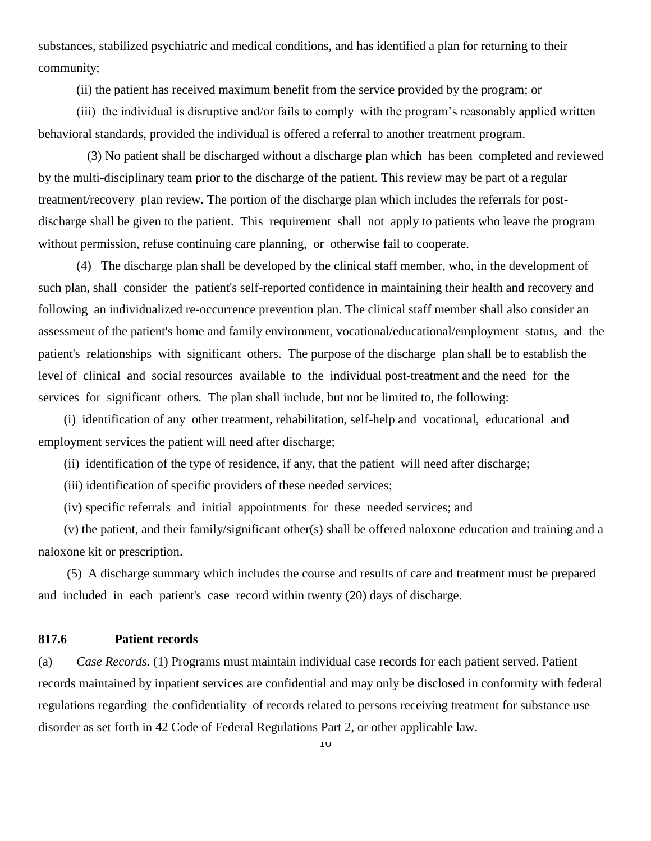substances, stabilized psychiatric and medical conditions, and has identified a plan for returning to their community;

(ii) the patient has received maximum benefit from the service provided by the program; or

 (iii) the individual is disruptive and/or fails to comply with the program's reasonably applied written behavioral standards, provided the individual is offered a referral to another treatment program.

(3) No patient shall be discharged without a discharge plan which has been completed and reviewed by the multi-disciplinary team prior to the discharge of the patient. This review may be part of a regular treatment/recovery plan review. The portion of the discharge plan which includes the referrals for postdischarge shall be given to the patient. This requirement shall not apply to patients who leave the program without permission, refuse continuing care planning, or otherwise fail to cooperate.

 (4) The discharge plan shall be developed by the clinical staff member, who, in the development of such plan, shall consider the patient's self-reported confidence in maintaining their health and recovery and following an individualized re-occurrence prevention plan. The clinical staff member shall also consider an assessment of the patient's home and family environment, vocational/educational/employment status, and the patient's relationships with significant others. The purpose of the discharge plan shall be to establish the level of clinical and social resources available to the individual post-treatment and the need for the services for significant others. The plan shall include, but not be limited to, the following:

 (i) identification of any other treatment, rehabilitation, self-help and vocational, educational and employment services the patient will need after discharge;

(ii) identification of the type of residence, if any, that the patient will need after discharge;

(iii) identification of specific providers of these needed services;

(iv) specific referrals and initial appointments for these needed services; and

 (v) the patient, and their family/significant other(s) shall be offered naloxone education and training and a naloxone kit or prescription.

 (5) A discharge summary which includes the course and results of care and treatment must be prepared and included in each patient's case record within twenty (20) days of discharge.

### **817.6 Patient records**

(a) *Case Records.* (1) Programs must maintain individual case records for each patient served. Patient records maintained by inpatient services are confidential and may only be disclosed in conformity with federal regulations regarding the confidentiality of records related to persons receiving treatment for substance use disorder as set forth in 42 Code of Federal Regulations Part 2, or other applicable law.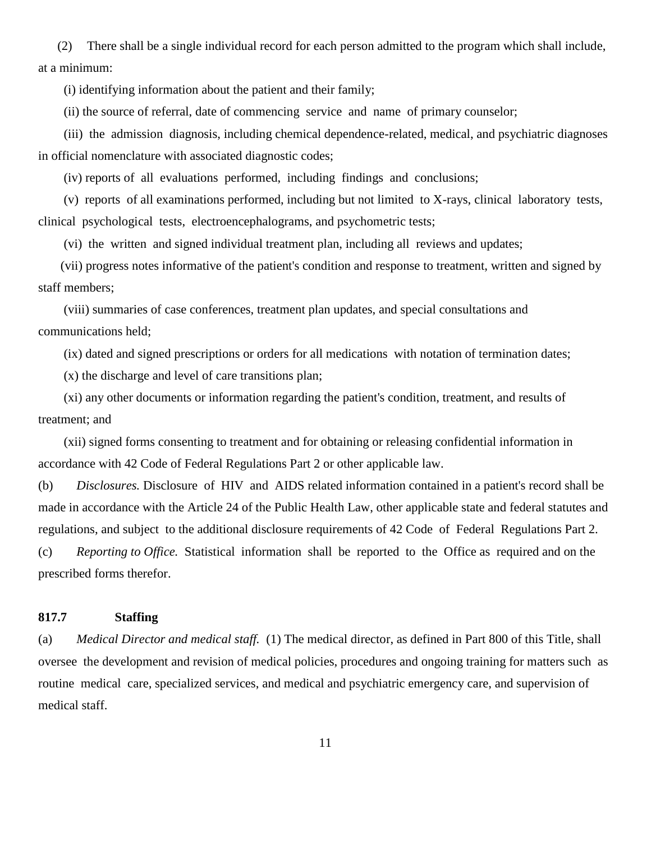(2) There shall be a single individual record for each person admitted to the program which shall include, at a minimum:

(i) identifying information about the patient and their family;

(ii) the source of referral, date of commencing service and name of primary counselor;

 (iii) the admission diagnosis, including chemical dependence-related, medical, and psychiatric diagnoses in official nomenclature with associated diagnostic codes;

(iv) reports of all evaluations performed, including findings and conclusions;

 (v) reports of all examinations performed, including but not limited to X-rays, clinical laboratory tests, clinical psychological tests, electroencephalograms, and psychometric tests;

(vi) the written and signed individual treatment plan, including all reviews and updates;

 (vii) progress notes informative of the patient's condition and response to treatment, written and signed by staff members;

 (viii) summaries of case conferences, treatment plan updates, and special consultations and communications held;

(ix) dated and signed prescriptions or orders for all medications with notation of termination dates;

(x) the discharge and level of care transitions plan;

 (xi) any other documents or information regarding the patient's condition, treatment, and results of treatment; and

 (xii) signed forms consenting to treatment and for obtaining or releasing confidential information in accordance with 42 Code of Federal Regulations Part 2 or other applicable law.

(b) *Disclosures.* Disclosure of HIV and AIDS related information contained in a patient's record shall be made in accordance with the Article 24 of the Public Health Law, other applicable state and federal statutes and regulations, and subject to the additional disclosure requirements of 42 Code of Federal Regulations Part 2.

(c) *Reporting to Office.* Statistical information shall be reported to the Office as required and on the prescribed forms therefor.

#### **817.7 Staffing**

(a) *Medical Director and medical staff.* (1) The medical director, as defined in Part 800 of this Title, shall oversee the development and revision of medical policies, procedures and ongoing training for matters such as routine medical care, specialized services, and medical and psychiatric emergency care, and supervision of medical staff.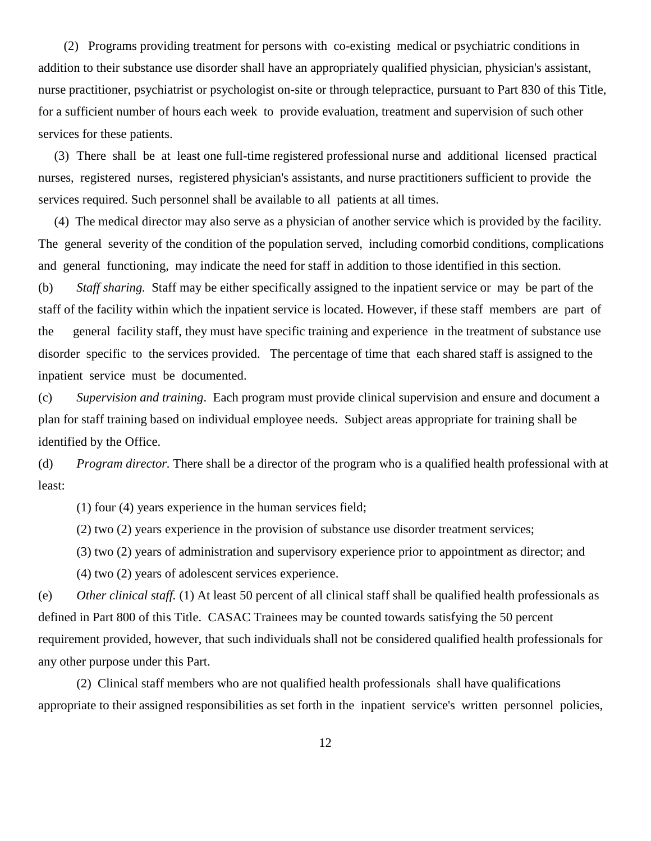(2) Programs providing treatment for persons with co-existing medical or psychiatric conditions in addition to their substance use disorder shall have an appropriately qualified physician, physician's assistant, nurse practitioner, psychiatrist or psychologist on-site or through telepractice, pursuant to Part 830 of this Title, for a sufficient number of hours each week to provide evaluation, treatment and supervision of such other services for these patients.

 (3) There shall be at least one full-time registered professional nurse and additional licensed practical nurses, registered nurses, registered physician's assistants, and nurse practitioners sufficient to provide the services required. Such personnel shall be available to all patients at all times.

 (4) The medical director may also serve as a physician of another service which is provided by the facility. The general severity of the condition of the population served, including comorbid conditions, complications and general functioning, may indicate the need for staff in addition to those identified in this section.

(b) *Staff sharing.* Staff may be either specifically assigned to the inpatient service or may be part of the staff of the facility within which the inpatient service is located. However, if these staff members are part of the general facility staff, they must have specific training and experience in the treatment of substance use disorder specific to the services provided. The percentage of time that each shared staff is assigned to the inpatient service must be documented.

(c) *Supervision and training*. Each program must provide clinical supervision and ensure and document a plan for staff training based on individual employee needs. Subject areas appropriate for training shall be identified by the Office.

(d) *Program director.* There shall be a director of the program who is a qualified health professional with at least:

(1) four (4) years experience in the human services field;

(2) two (2) years experience in the provision of substance use disorder treatment services;

(3) two (2) years of administration and supervisory experience prior to appointment as director; and

(4) two (2) years of adolescent services experience.

(e) *Other clinical staff.* (1) At least 50 percent of all clinical staff shall be qualified health professionals as defined in Part 800 of this Title. CASAC Trainees may be counted towards satisfying the 50 percent requirement provided, however, that such individuals shall not be considered qualified health professionals for any other purpose under this Part.

 (2) Clinical staff members who are not qualified health professionals shall have qualifications appropriate to their assigned responsibilities as set forth in the inpatient service's written personnel policies,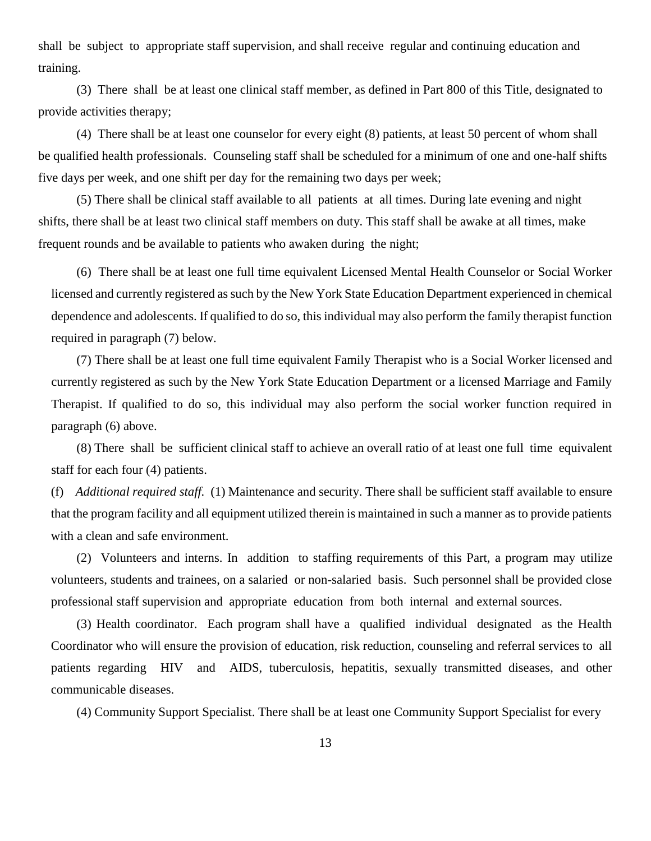shall be subject to appropriate staff supervision, and shall receive regular and continuing education and training.

 (3) There shall be at least one clinical staff member, as defined in Part 800 of this Title, designated to provide activities therapy;

 (4) There shall be at least one counselor for every eight (8) patients, at least 50 percent of whom shall be qualified health professionals. Counseling staff shall be scheduled for a minimum of one and one-half shifts five days per week, and one shift per day for the remaining two days per week;

 (5) There shall be clinical staff available to all patients at all times. During late evening and night shifts, there shall be at least two clinical staff members on duty. This staff shall be awake at all times, make frequent rounds and be available to patients who awaken during the night;

(6) There shall be at least one full time equivalent Licensed Mental Health Counselor or Social Worker licensed and currently registered as such by the New York State Education Department experienced in chemical dependence and adolescents. If qualified to do so, this individual may also perform the family therapist function required in paragraph (7) below.

(7) There shall be at least one full time equivalent Family Therapist who is a Social Worker licensed and currently registered as such by the New York State Education Department or a licensed Marriage and Family Therapist. If qualified to do so, this individual may also perform the social worker function required in paragraph (6) above.

(8) There shall be sufficient clinical staff to achieve an overall ratio of at least one full time equivalent staff for each four (4) patients.

(f) *Additional required staff.* (1) Maintenance and security. There shall be sufficient staff available to ensure that the program facility and all equipment utilized therein is maintained in such a manner as to provide patients with a clean and safe environment.

(2) Volunteers and interns. In addition to staffing requirements of this Part, a program may utilize volunteers, students and trainees, on a salaried or non-salaried basis. Such personnel shall be provided close professional staff supervision and appropriate education from both internal and external sources.

(3) Health coordinator. Each program shall have a qualified individual designated as the Health Coordinator who will ensure the provision of education, risk reduction, counseling and referral services to all patients regarding HIV and AIDS, tuberculosis, hepatitis, sexually transmitted diseases, and other communicable diseases.

(4) Community Support Specialist. There shall be at least one Community Support Specialist for every